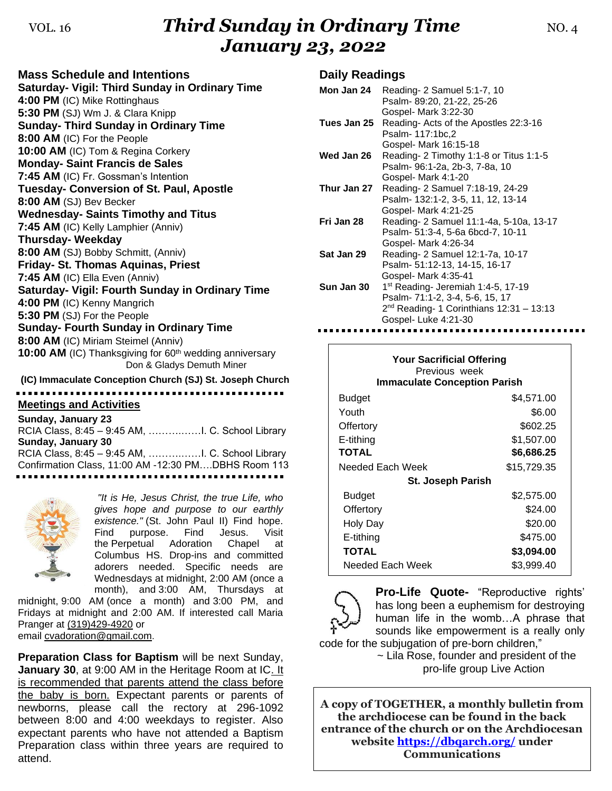## VOL. 16*Third Sunday in Ordinary Time* MO. 4 *January 23, 2022*

| <b>Mass Schedule and Intentions</b>                                                              |
|--------------------------------------------------------------------------------------------------|
| Saturday- Vigil: Third Sunday in Ordinary Time                                                   |
| 4:00 PM (IC) Mike Rottinghaus                                                                    |
| 5:30 PM (SJ) Wm J. & Clara Knipp                                                                 |
| <b>Sunday- Third Sunday in Ordinary Time</b>                                                     |
| 8:00 AM (IC) For the People                                                                      |
| 10:00 AM (IC) Tom & Regina Corkery                                                               |
| <b>Monday- Saint Francis de Sales</b>                                                            |
| 7:45 AM (IC) Fr. Gossman's Intention                                                             |
| Tuesday- Conversion of St. Paul, Apostle                                                         |
| 8:00 AM (SJ) Bev Becker                                                                          |
| <b>Wednesday- Saints Timothy and Titus</b>                                                       |
| 7:45 AM (IC) Kelly Lamphier (Anniv)                                                              |
| <b>Thursday- Weekday</b>                                                                         |
| 8:00 AM (SJ) Bobby Schmitt, (Anniv)                                                              |
| <b>Friday- St. Thomas Aquinas, Priest</b>                                                        |
| 7:45 AM (IC) Ella Even (Anniv)                                                                   |
| Saturday- Vigil: Fourth Sunday in Ordinary Time                                                  |
| 4:00 PM (IC) Kenny Mangrich                                                                      |
| 5:30 PM (SJ) For the People                                                                      |
| <b>Sunday- Fourth Sunday in Ordinary Time</b>                                                    |
| 8:00 AM (IC) Miriam Steimel (Anniv)                                                              |
| 10:00 AM (IC) Thanksgiving for 60 <sup>th</sup> wedding anniversary<br>Don & Gladys Demuth Miner |
| (IC) Immaculate Conception Church (SJ) St. Joseph Church                                         |

# **Meetings and Activities**

**Sunday, January 23** RCIA Class, 8:45 – 9:45 AM, ……….……I. C. School Library **Sunday, January 30** RCIA Class, 8:45 – 9:45 AM, ……….……I. C. School Library Confirmation Class, 11:00 AM -12:30 PM….DBHS Room 113 ---------------------------------



*"It is He, Jesus Christ, the true Life, who gives hope and purpose to our earthly existence."* (St. John Paul II) Find hope. Find purpose. Find Jesus. Visit the Perpetual Adoration Chapel at Columbus HS. Drop-ins and committed adorers needed. Specific needs are Wednesdays at midnight, 2:00 AM (once a month), and 3:00 AM, Thursdays at

midnight, 9:00 AM (once a month) and 3:00 PM, and Fridays at midnight and 2:00 AM. If interested call Maria Pranger at [\(319\)429-4920](tel:(319)429-4920) or email [cvadoration@gmail.com.](mailto:cvadoration@gmail.com)

**Preparation Class for Baptism** will be next Sunday, **January 30, at 9:00 AM in the Heritage Room at IC. It** is recommended that parents attend the class before the baby is born. Expectant parents or parents of newborns, please call the rectory at 296-1092 between 8:00 and 4:00 weekdays to register. Also expectant parents who have not attended a Baptism Preparation class within three years are required to attend.

### **Daily Readings**

| Mon Jan 24  | Reading- 2 Samuel 5:1-7, 10<br>Psalm- 89:20, 21-22, 25-26                                                                                                                      |
|-------------|--------------------------------------------------------------------------------------------------------------------------------------------------------------------------------|
| Tues Jan 25 | Gospel- Mark 3:22-30<br>Reading- Acts of the Apostles 22:3-16<br>Psalm- 117:1bc,2                                                                                              |
| Wed Jan 26  | Gospel- Mark 16:15-18<br>Reading- 2 Timothy 1:1-8 or Titus 1:1-5<br>Psalm- 96:1-2a, 2b-3, 7-8a, 10                                                                             |
| Thur Jan 27 | Gospel- Mark 4:1-20<br>Reading- 2 Samuel 7:18-19, 24-29<br>Psalm- 132:1-2, 3-5, 11, 12, 13-14                                                                                  |
| Fri Jan 28  | Gospel- Mark 4:21-25<br>Reading- 2 Samuel 11:1-4a, 5-10a, 13-17<br>Psalm- 51:3-4, 5-6a 6bcd-7, 10-11                                                                           |
| Sat Jan 29  | Gospel- Mark 4:26-34<br>Reading- 2 Samuel 12:1-7a, 10-17<br>Psalm- 51:12-13, 14-15, 16-17                                                                                      |
| Sun Jan 30  | Gospel- Mark 4:35-41<br>1 <sup>st</sup> Reading- Jeremiah 1:4-5, 17-19<br>Psalm- 71:1-2, 3-4, 5-6, 15, 17<br>$2nd$ Reading- 1 Corinthians 12:31 - 13:13<br>Gospel-Luke 4:21-30 |

**Your Sacrificial Offering** Previous week **Immaculate Conception Parish Budget 54,571.00** Youth  $\$6.00$ Offertory \$602.25 E-tithing \$1,507.00 **TOTAL \$6,686.25** Needed Each Week \$15,729.35 **St. Joseph Parish Budget 52,575.00** Offertory \$24.00 Holy Day \$20.00 E-tithing \$475.00 **TOTAL \$3,094.00** Needed Each Week \$3,999.40



**Pro-Life Quote-** "Reproductive rights' has long been a euphemism for destroying human life in the womb…A phrase that sounds like empowerment is a really only

code for the subjugation of pre-born children," ~ Lila Rose, founder and president of the pro-life group Live Action

**A copy of TOGETHER, a monthly bulletin from the archdiocese can be found in the back entrance of the church or on the Archdiocesan website<https://dbqarch.org/> under Communications**